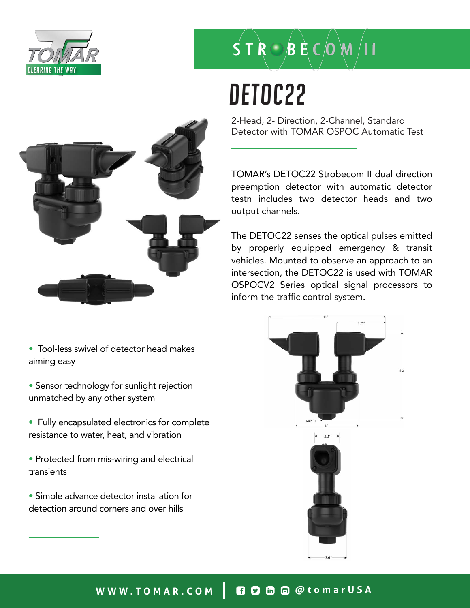

# $S$  T  $R \bigcirc B$  E C  $O$   $M$  /

# DETOC22

2-Head, 2- Direction, 2-Channel, Standard Detector with TOMAR OSPOC Automatic Test

TOMAR's DETOC22 Strobecom II dual direction preemption detector with automatic detector testn includes two detector heads and two output channels.

The DETOC22 senses the optical pulses emitted by properly equipped emergency & transit vehicles. Mounted to observe an approach to an intersection, the DETOC22 is used with TOMAR OSPOCV2 Series optical signal processors to inform the traffic control system.





• Tool-less swivel of detector head makes aiming easy

- Sensor technology for sunlight rejection unmatched by any other system
- Fully encapsulated electronics for complete resistance to water, heat, and vibration
- Protected from mis-wiring and electrical transients
- Simple advance detector installation for detection around corners and over hills

WWW.TOMAR.COM | **0000** @ @tomarUSA